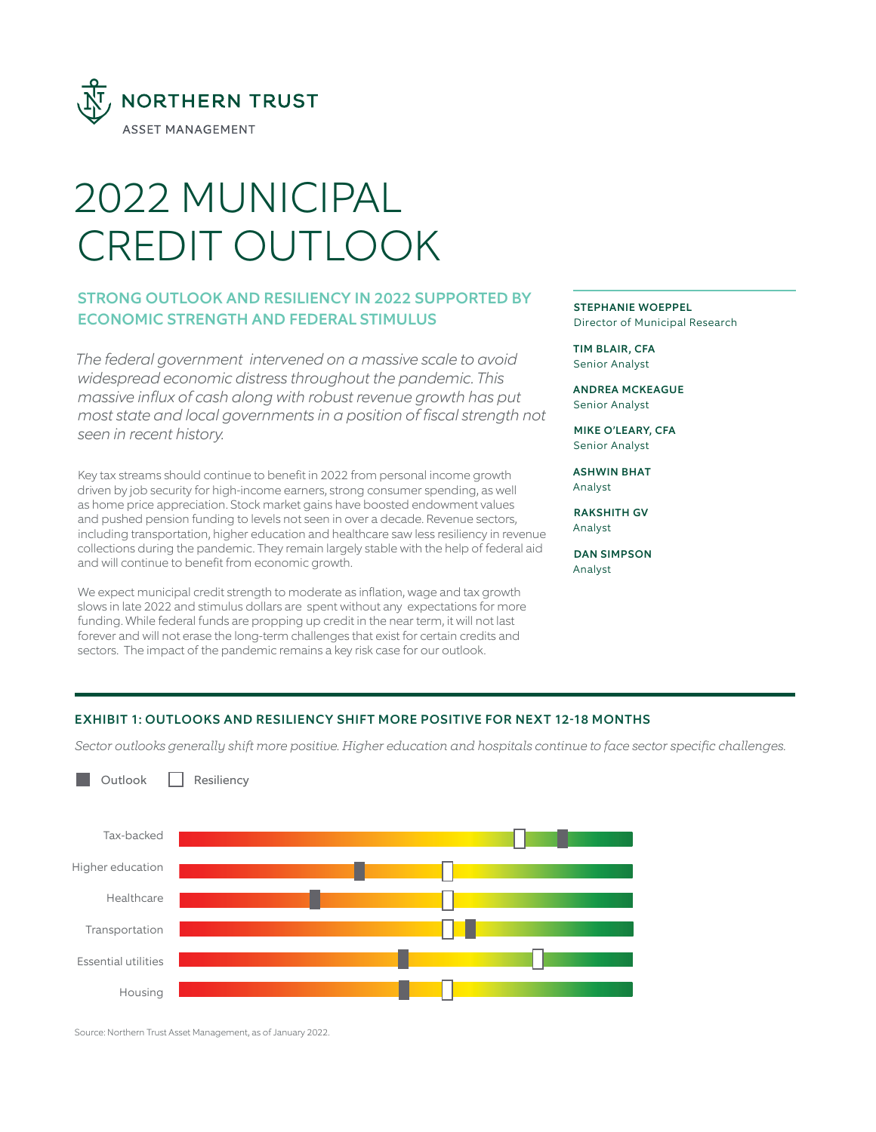

# 2022 MUNICIPAL CREDIT OUTLOOK

# STRONG OUTLOOK AND RESILIENCY IN 2022 SUPPORTED BY ECONOMIC STRENGTH AND FEDERAL STIMULUS

*The federal government intervened on a massive scale to avoid widespread economic distress throughout the pandemic. This massive influx of cash along with robust revenue growth has put most state and local governments in a position of fiscal strength not seen in recent history.* 

Key tax streams should continue to benefit in 2022 from personal income growth driven by job security for high-income earners, strong consumer spending, as well as home price appreciation. Stock market gains have boosted endowment values and pushed pension funding to levels not seen in over a decade. Revenue sectors, including transportation, higher education and healthcare saw less resiliency in revenue collections during the pandemic. They remain largely stable with the help of federal aid and will continue to benefit from economic growth.

We expect municipal credit strength to moderate as inflation, wage and tax growth slows in late 2022 and stimulus dollars are spent without any expectations for more funding. While federal funds are propping up credit in the near term, it will not last forever and will not erase the long-term challenges that exist for certain credits and sectors. The impact of the pandemic remains a key risk case for our outlook.

STEPHANIE WOEPPEL Director of Municipal Research

TIM BLAIR, CFA Senior Analyst

ANDREA MCKEAGUE Senior Analyst

MIKE O'LEARY, CFA Senior Analyst

ASHWIN BHAT Analyst

RAKSHITH GV Analyst

DAN SIMPSON Analyst

# EXHIBIT 1: OUTLOOKS AND RESILIENCY SHIFT MORE POSITIVE FOR NEXT 12-18 MONTHS

*Sector outlooks generally shift more positive. Higher education and hospitals continue to face sector specific challenges.*



Source: Northern Trust Asset Management, as of January 2022.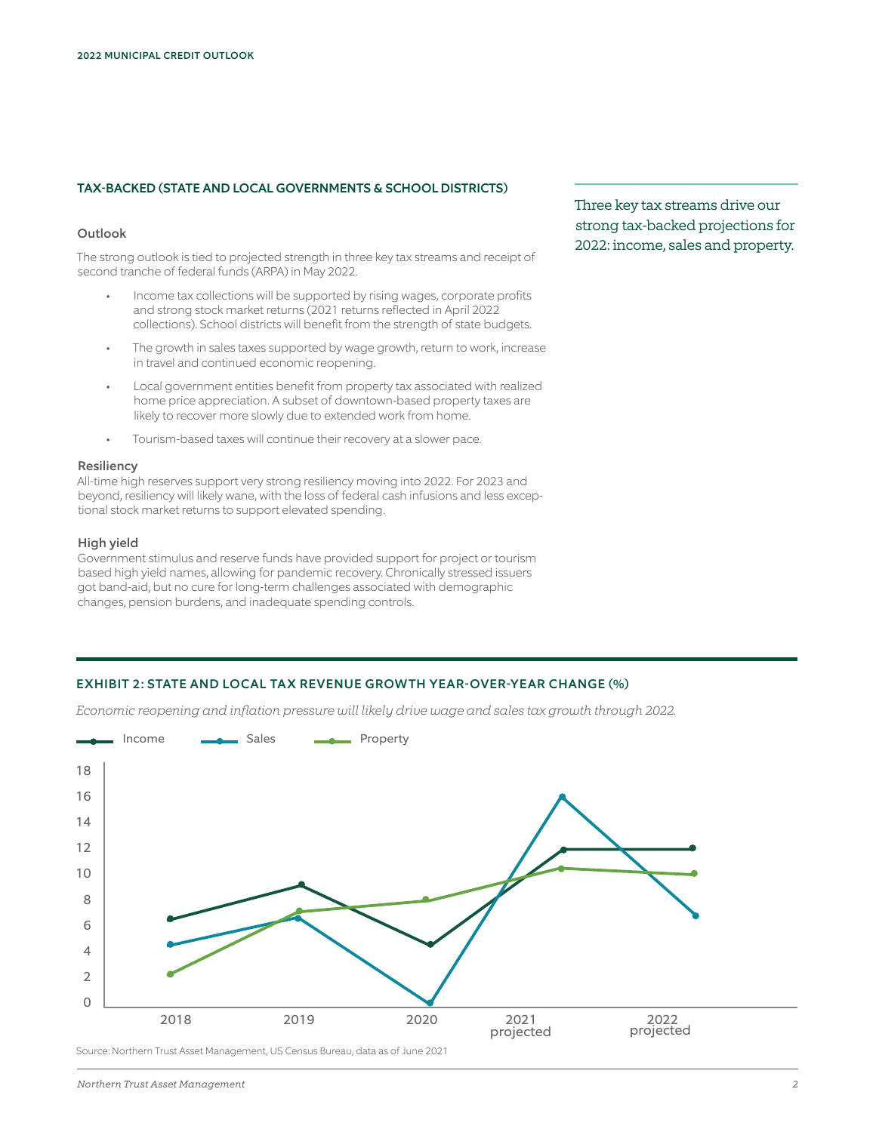# TAX-BACKED (STATE AND LOCAL GOVERNMENTS & SCHOOL DISTRICTS)

# **Outlook**

The strong outlook is tied to projected strength in three key tax streams and receipt of second tranche of federal funds (ARPA) in May 2022.

- Income tax collections will be supported by rising wages, corporate profits and strong stock market returns (2021 returns reflected in April 2022 collections). School districts will benefit from the strength of state budgets.
- The growth in sales taxes supported by wage growth, return to work, increase in travel and continued economic reopening.
- Local government entities benefit from property tax associated with realized home price appreciation. A subset of downtown-based property taxes are likely to recover more slowly due to extended work from home.
- Tourism-based taxes will continue their recovery at a slower pace.

# Resiliency

All-time high reserves support very strong resiliency moving into 2022. For 2023 and beyond, resiliency will likely wane, with the loss of federal cash infusions and less exceptional stock market returns to support elevated spending.

#### High yield

Government stimulus and reserve funds have provided support for project or tourism based high yield names, allowing for pandemic recovery. Chronically stressed issuers got band-aid, but no cure for long-term challenges associated with demographic changes, pension burdens, and inadequate spending controls.

# Three key tax streams drive our strong tax-backed projections for 2022: income, sales and property.

# EXHIBIT 2: STATE AND LOCAL TAX REVENUE GROWTH YEAR-OVER-YEAR CHANGE (%)

*Economic reopening and inflation pressure will likely drive wage and sales tax growth through 2022.*

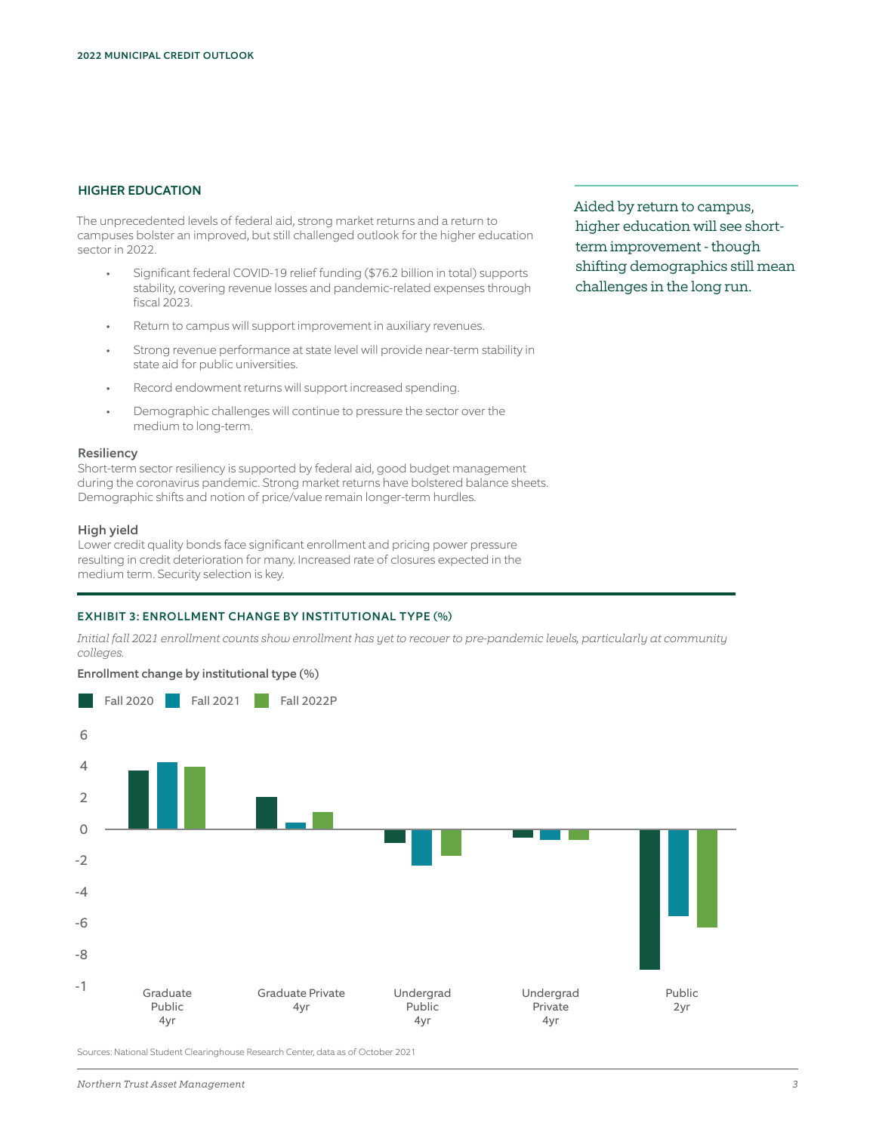# HIGHER EDUCATION

The unprecedented levels of federal aid, strong market returns and a return to campuses bolster an improved, but still challenged outlook for the higher education sector in 2022.

- Significant federal COVID-19 relief funding (\$76.2 billion in total) supports stability, covering revenue losses and pandemic-related expenses through fiscal 2023.
- Return to campus will support improvement in auxiliary revenues.
- Strong revenue performance at state level will provide near-term stability in state aid for public universities.
- Record endowment returns will support increased spending.
- Demographic challenges will continue to pressure the sector over the medium to long-term.

#### **Resiliency**

Short-term sector resiliency is supported by federal aid, good budget management during the coronavirus pandemic. Strong market returns have bolstered balance sheets. Demographic shifts and notion of price/value remain longer-term hurdles.

#### High yield

Lower credit quality bonds face significant enrollment and pricing power pressure resulting in credit deterioration for many. Increased rate of closures expected in the medium term. Security selection is key.

# EXHIBIT 3: ENROLLMENT CHANGE BY INSTITUTIONAL TYPE (%)

*Initial fall 2021 enrollment counts show enrollment has yet to recover to pre-pandemic levels, particularly at community colleges.* 





Sources: National Student Clearinghouse Research Center, data as of October 2021

Aided by return to campus, higher education will see shortterm improvement - though shifting demographics still mean challenges in the long run.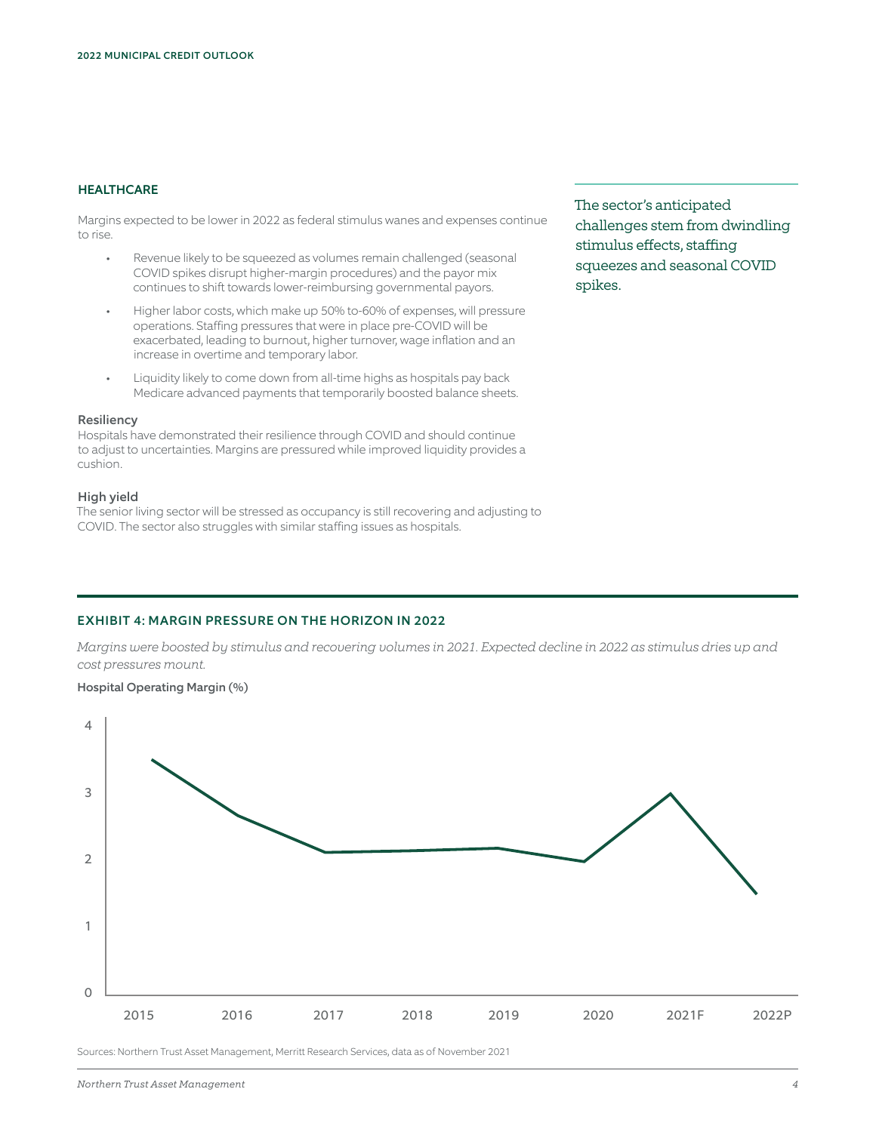# **HEALTHCARE**

Margins expected to be lower in 2022 as federal stimulus wanes and expenses continue to rise.

- Revenue likely to be squeezed as volumes remain challenged (seasonal COVID spikes disrupt higher-margin procedures) and the payor mix continues to shift towards lower-reimbursing governmental payors.
- Higher labor costs, which make up 50% to-60% of expenses, will pressure operations. Staffing pressures that were in place pre-COVID will be exacerbated, leading to burnout, higher turnover, wage inflation and an increase in overtime and temporary labor.
- Liquidity likely to come down from all-time highs as hospitals pay back Medicare advanced payments that temporarily boosted balance sheets.

#### Resiliency

Hospitals have demonstrated their resilience through COVID and should continue to adjust to uncertainties. Margins are pressured while improved liquidity provides a cushion.

#### High yield

The senior living sector will be stressed as occupancy is still recovering and adjusting to COVID. The sector also struggles with similar staffing issues as hospitals.

The sector's anticipated challenges stem from dwindling stimulus effects, staffing squeezes and seasonal COVID spikes.

# EXHIBIT 4: MARGIN PRESSURE ON THE HORIZON IN 2022

*Margins were boosted by stimulus and recovering volumes in 2021. Expected decline in 2022 as stimulus dries up and cost pressures mount.*

# Hospital Operating Margin (%)



Sources: Northern Trust Asset Management, Merritt Research Services, data as of November 2021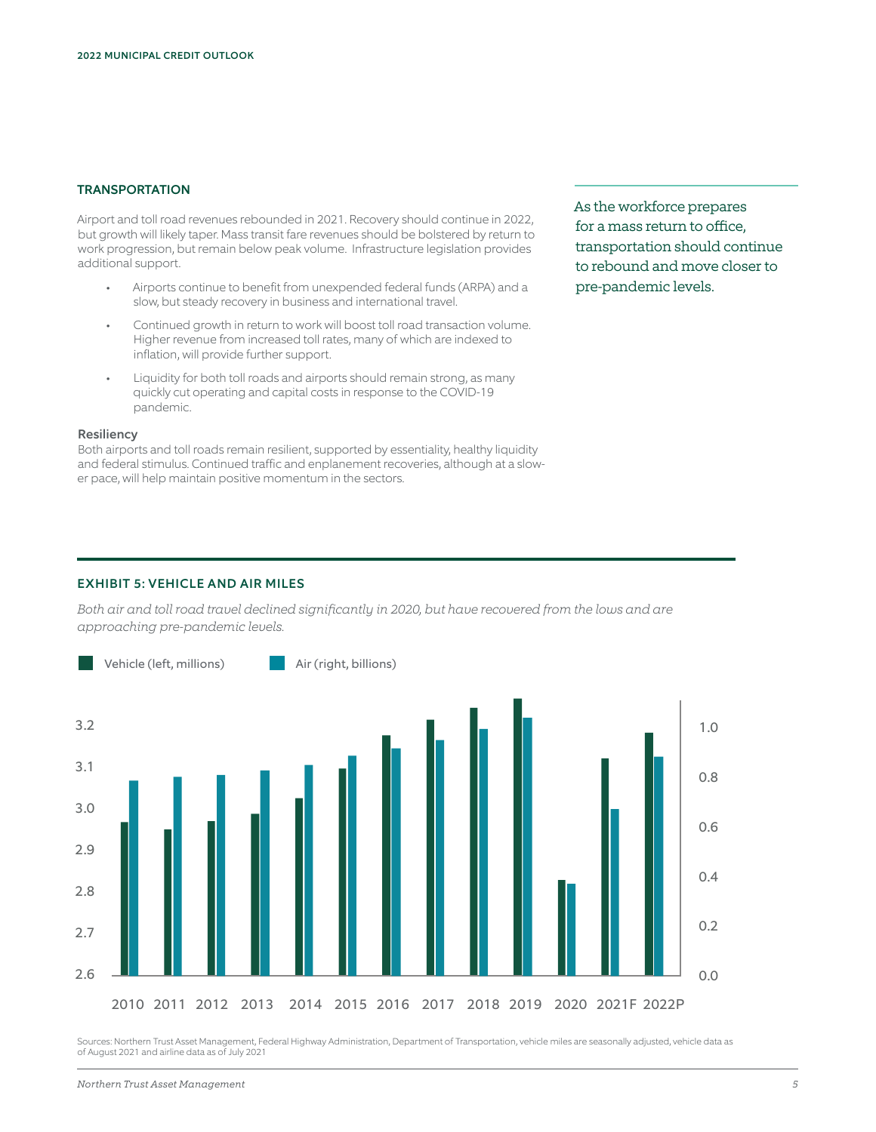# **TRANSPORTATION**

Airport and toll road revenues rebounded in 2021. Recovery should continue in 2022, but growth will likely taper. Mass transit fare revenues should be bolstered by return to work progression, but remain below peak volume. Infrastructure legislation provides additional support.

- Airports continue to benefit from unexpended federal funds (ARPA) and a slow, but steady recovery in business and international travel.
- Continued growth in return to work will boost toll road transaction volume. Higher revenue from increased toll rates, many of which are indexed to inflation, will provide further support.
- Liquidity for both toll roads and airports should remain strong, as many quickly cut operating and capital costs in response to the COVID-19 pandemic.

#### Resiliency

Both airports and toll roads remain resilient, supported by essentiality, healthy liquidity and federal stimulus. Continued traffic and enplanement recoveries, although at a slower pace, will help maintain positive momentum in the sectors.

As the workforce prepares for a mass return to office, transportation should continue to rebound and move closer to pre-pandemic levels.

# EXHIBIT 5: VEHICLE AND AIR MILES

*Both air and toll road travel declined significantly in 2020, but have recovered from the lows and are approaching pre-pandemic levels.*



Sources: Northern Trust Asset Management, Federal Highway Administration, Department of Transportation, vehicle miles are seasonally adjusted, vehicle data as of August 2021 and airline data as of July 2021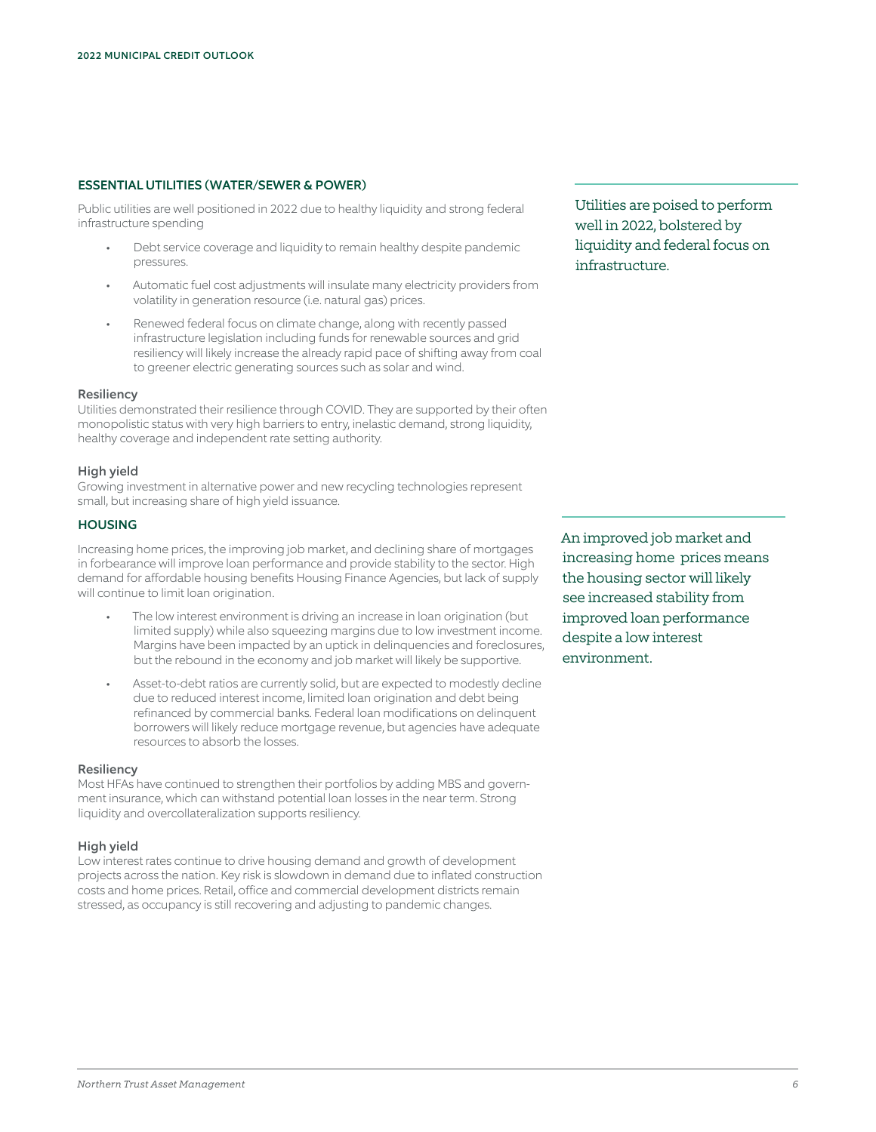# ESSENTIAL UTILITIES (WATER/SEWER & POWER)

Public utilities are well positioned in 2022 due to healthy liquidity and strong federal infrastructure spending

- Debt service coverage and liquidity to remain healthy despite pandemic pressures.
- Automatic fuel cost adjustments will insulate many electricity providers from volatility in generation resource (i.e. natural gas) prices.
- Renewed federal focus on climate change, along with recently passed infrastructure legislation including funds for renewable sources and grid resiliency will likely increase the already rapid pace of shifting away from coal to greener electric generating sources such as solar and wind.

#### **Resiliency**

Utilities demonstrated their resilience through COVID. They are supported by their often monopolistic status with very high barriers to entry, inelastic demand, strong liquidity, healthy coverage and independent rate setting authority.

#### High yield

Growing investment in alternative power and new recycling technologies represent small, but increasing share of high yield issuance.

# **HOUSING**

Increasing home prices, the improving job market, and declining share of mortgages in forbearance will improve loan performance and provide stability to the sector. High demand for affordable housing benefits Housing Finance Agencies, but lack of supply will continue to limit loan origination.

- The low interest environment is driving an increase in loan origination (but limited supply) while also squeezing margins due to low investment income. Margins have been impacted by an uptick in delinquencies and foreclosures, but the rebound in the economy and job market will likely be supportive.
- Asset-to-debt ratios are currently solid, but are expected to modestly decline due to reduced interest income, limited loan origination and debt being refinanced by commercial banks. Federal loan modifications on delinquent borrowers will likely reduce mortgage revenue, but agencies have adequate resources to absorb the losses.

#### **Resiliency**

Most HFAs have continued to strengthen their portfolios by adding MBS and government insurance, which can withstand potential loan losses in the near term. Strong liquidity and overcollateralization supports resiliency.

# High yield

Low interest rates continue to drive housing demand and growth of development projects across the nation. Key risk is slowdown in demand due to inflated construction costs and home prices. Retail, office and commercial development districts remain stressed, as occupancy is still recovering and adjusting to pandemic changes.

Utilities are poised to perform well in 2022, bolstered by liquidity and federal focus on infrastructure.

An improved job market and increasing home prices means the housing sector will likely see increased stability from improved loan performance despite a low interest environment.